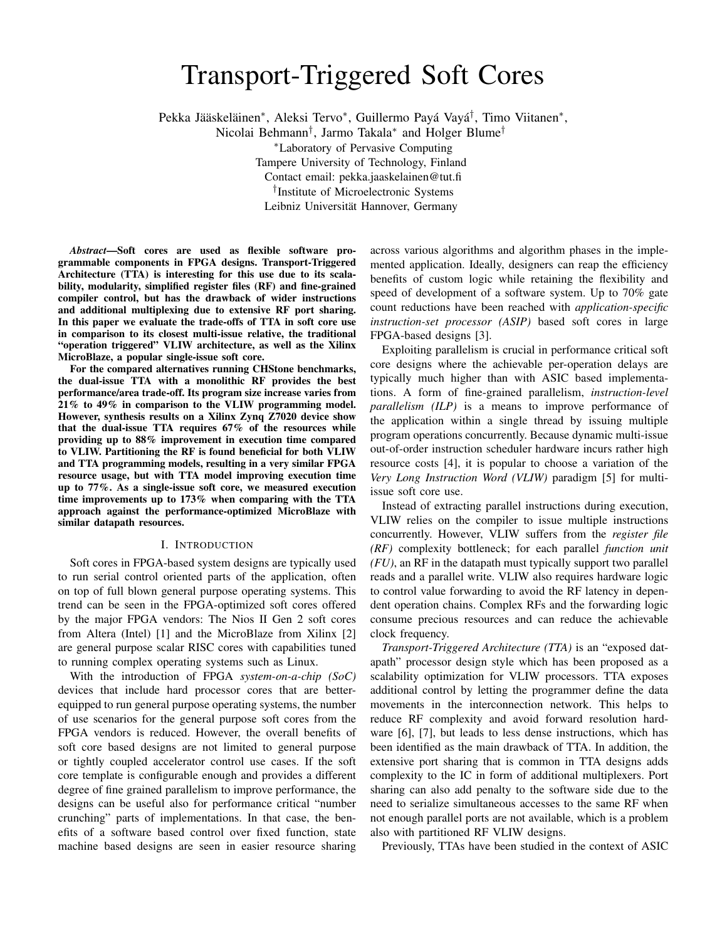# Transport-Triggered Soft Cores

Pekka Jääskeläinen\*, Aleksi Tervo\*, Guillermo Payá Vayá<sup>†</sup>, Timo Viitanen\*,

Nicolai Behmann<sup>†</sup>, Jarmo Takala<sup>\*</sup> and Holger Blume<sup>†</sup> <sup>∗</sup>Laboratory of Pervasive Computing Tampere University of Technology, Finland Contact email: pekka.jaaskelainen@tut.fi † Institute of Microelectronic Systems Leibniz Universität Hannover, Germany

*Abstract*—Soft cores are used as flexible software programmable components in FPGA designs. Transport-Triggered Architecture (TTA) is interesting for this use due to its scalability, modularity, simplified register files (RF) and fine-grained compiler control, but has the drawback of wider instructions and additional multiplexing due to extensive RF port sharing. In this paper we evaluate the trade-offs of TTA in soft core use in comparison to its closest multi-issue relative, the traditional "operation triggered" VLIW architecture, as well as the Xilinx MicroBlaze, a popular single-issue soft core.

For the compared alternatives running CHStone benchmarks, the dual-issue TTA with a monolithic RF provides the best performance/area trade-off. Its program size increase varies from 21% to 49% in comparison to the VLIW programming model. However, synthesis results on a Xilinx Zynq Z7020 device show that the dual-issue TTA requires 67% of the resources while providing up to 88% improvement in execution time compared to VLIW. Partitioning the RF is found beneficial for both VLIW and TTA programming models, resulting in a very similar FPGA resource usage, but with TTA model improving execution time up to 77%. As a single-issue soft core, we measured execution time improvements up to 173% when comparing with the TTA approach against the performance-optimized MicroBlaze with similar datapath resources.

#### I. INTRODUCTION

Soft cores in FPGA-based system designs are typically used to run serial control oriented parts of the application, often on top of full blown general purpose operating systems. This trend can be seen in the FPGA-optimized soft cores offered by the major FPGA vendors: The Nios II Gen 2 soft cores from Altera (Intel) [1] and the MicroBlaze from Xilinx [2] are general purpose scalar RISC cores with capabilities tuned to running complex operating systems such as Linux.

With the introduction of FPGA *system-on-a-chip (SoC)* devices that include hard processor cores that are betterequipped to run general purpose operating systems, the number of use scenarios for the general purpose soft cores from the FPGA vendors is reduced. However, the overall benefits of soft core based designs are not limited to general purpose or tightly coupled accelerator control use cases. If the soft core template is configurable enough and provides a different degree of fine grained parallelism to improve performance, the designs can be useful also for performance critical "number crunching" parts of implementations. In that case, the benefits of a software based control over fixed function, state machine based designs are seen in easier resource sharing

across various algorithms and algorithm phases in the implemented application. Ideally, designers can reap the efficiency benefits of custom logic while retaining the flexibility and speed of development of a software system. Up to 70% gate count reductions have been reached with *application-specific instruction-set processor (ASIP)* based soft cores in large FPGA-based designs [3].

Exploiting parallelism is crucial in performance critical soft core designs where the achievable per-operation delays are typically much higher than with ASIC based implementations. A form of fine-grained parallelism, *instruction-level parallelism (ILP)* is a means to improve performance of the application within a single thread by issuing multiple program operations concurrently. Because dynamic multi-issue out-of-order instruction scheduler hardware incurs rather high resource costs [4], it is popular to choose a variation of the *Very Long Instruction Word (VLIW)* paradigm [5] for multiissue soft core use.

Instead of extracting parallel instructions during execution, VLIW relies on the compiler to issue multiple instructions concurrently. However, VLIW suffers from the *register file (RF)* complexity bottleneck; for each parallel *function unit (FU)*, an RF in the datapath must typically support two parallel reads and a parallel write. VLIW also requires hardware logic to control value forwarding to avoid the RF latency in dependent operation chains. Complex RFs and the forwarding logic consume precious resources and can reduce the achievable clock frequency.

*Transport-Triggered Architecture (TTA)* is an "exposed datapath" processor design style which has been proposed as a scalability optimization for VLIW processors. TTA exposes additional control by letting the programmer define the data movements in the interconnection network. This helps to reduce RF complexity and avoid forward resolution hardware [6], [7], but leads to less dense instructions, which has been identified as the main drawback of TTA. In addition, the extensive port sharing that is common in TTA designs adds complexity to the IC in form of additional multiplexers. Port sharing can also add penalty to the software side due to the need to serialize simultaneous accesses to the same RF when not enough parallel ports are not available, which is a problem also with partitioned RF VLIW designs.

Previously, TTAs have been studied in the context of ASIC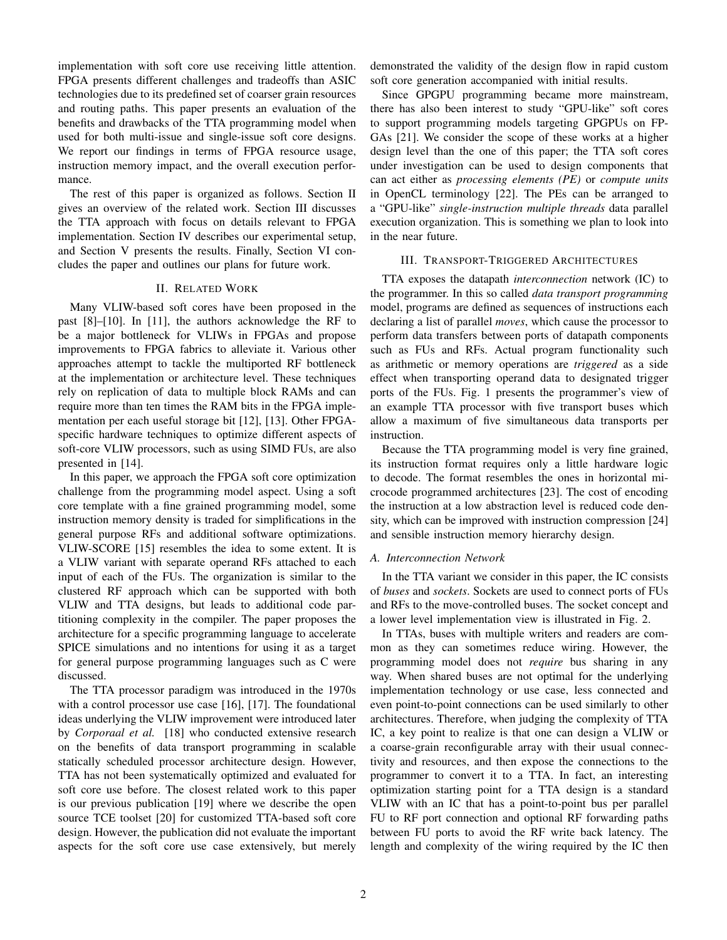implementation with soft core use receiving little attention. FPGA presents different challenges and tradeoffs than ASIC technologies due to its predefined set of coarser grain resources and routing paths. This paper presents an evaluation of the benefits and drawbacks of the TTA programming model when used for both multi-issue and single-issue soft core designs. We report our findings in terms of FPGA resource usage, instruction memory impact, and the overall execution performance.

The rest of this paper is organized as follows. Section II gives an overview of the related work. Section III discusses the TTA approach with focus on details relevant to FPGA implementation. Section IV describes our experimental setup, and Section V presents the results. Finally, Section VI concludes the paper and outlines our plans for future work.

# II. RELATED WORK

Many VLIW-based soft cores have been proposed in the past [8]–[10]. In [11], the authors acknowledge the RF to be a major bottleneck for VLIWs in FPGAs and propose improvements to FPGA fabrics to alleviate it. Various other approaches attempt to tackle the multiported RF bottleneck at the implementation or architecture level. These techniques rely on replication of data to multiple block RAMs and can require more than ten times the RAM bits in the FPGA implementation per each useful storage bit [12], [13]. Other FPGAspecific hardware techniques to optimize different aspects of soft-core VLIW processors, such as using SIMD FUs, are also presented in [14].

In this paper, we approach the FPGA soft core optimization challenge from the programming model aspect. Using a soft core template with a fine grained programming model, some instruction memory density is traded for simplifications in the general purpose RFs and additional software optimizations. VLIW-SCORE [15] resembles the idea to some extent. It is a VLIW variant with separate operand RFs attached to each input of each of the FUs. The organization is similar to the clustered RF approach which can be supported with both VLIW and TTA designs, but leads to additional code partitioning complexity in the compiler. The paper proposes the architecture for a specific programming language to accelerate SPICE simulations and no intentions for using it as a target for general purpose programming languages such as C were discussed.

The TTA processor paradigm was introduced in the 1970s with a control processor use case [16], [17]. The foundational ideas underlying the VLIW improvement were introduced later by *Corporaal et al.* [18] who conducted extensive research on the benefits of data transport programming in scalable statically scheduled processor architecture design. However, TTA has not been systematically optimized and evaluated for soft core use before. The closest related work to this paper is our previous publication [19] where we describe the open source TCE toolset [20] for customized TTA-based soft core design. However, the publication did not evaluate the important aspects for the soft core use case extensively, but merely

demonstrated the validity of the design flow in rapid custom soft core generation accompanied with initial results.

Since GPGPU programming became more mainstream, there has also been interest to study "GPU-like" soft cores to support programming models targeting GPGPUs on FP-GAs [21]. We consider the scope of these works at a higher design level than the one of this paper; the TTA soft cores under investigation can be used to design components that can act either as *processing elements (PE)* or *compute units* in OpenCL terminology [22]. The PEs can be arranged to a "GPU-like" *single-instruction multiple threads* data parallel execution organization. This is something we plan to look into in the near future.

# III. TRANSPORT-TRIGGERED ARCHITECTURES

TTA exposes the datapath *interconnection* network (IC) to the programmer. In this so called *data transport programming* model, programs are defined as sequences of instructions each declaring a list of parallel *moves*, which cause the processor to perform data transfers between ports of datapath components such as FUs and RFs. Actual program functionality such as arithmetic or memory operations are *triggered* as a side effect when transporting operand data to designated trigger ports of the FUs. Fig. 1 presents the programmer's view of an example TTA processor with five transport buses which allow a maximum of five simultaneous data transports per instruction.

Because the TTA programming model is very fine grained, its instruction format requires only a little hardware logic to decode. The format resembles the ones in horizontal microcode programmed architectures [23]. The cost of encoding the instruction at a low abstraction level is reduced code density, which can be improved with instruction compression [24] and sensible instruction memory hierarchy design.

#### *A. Interconnection Network*

In the TTA variant we consider in this paper, the IC consists of *buses* and *sockets*. Sockets are used to connect ports of FUs and RFs to the move-controlled buses. The socket concept and a lower level implementation view is illustrated in Fig. 2.

In TTAs, buses with multiple writers and readers are common as they can sometimes reduce wiring. However, the programming model does not *require* bus sharing in any way. When shared buses are not optimal for the underlying implementation technology or use case, less connected and even point-to-point connections can be used similarly to other architectures. Therefore, when judging the complexity of TTA IC, a key point to realize is that one can design a VLIW or a coarse-grain reconfigurable array with their usual connectivity and resources, and then expose the connections to the programmer to convert it to a TTA. In fact, an interesting optimization starting point for a TTA design is a standard VLIW with an IC that has a point-to-point bus per parallel FU to RF port connection and optional RF forwarding paths between FU ports to avoid the RF write back latency. The length and complexity of the wiring required by the IC then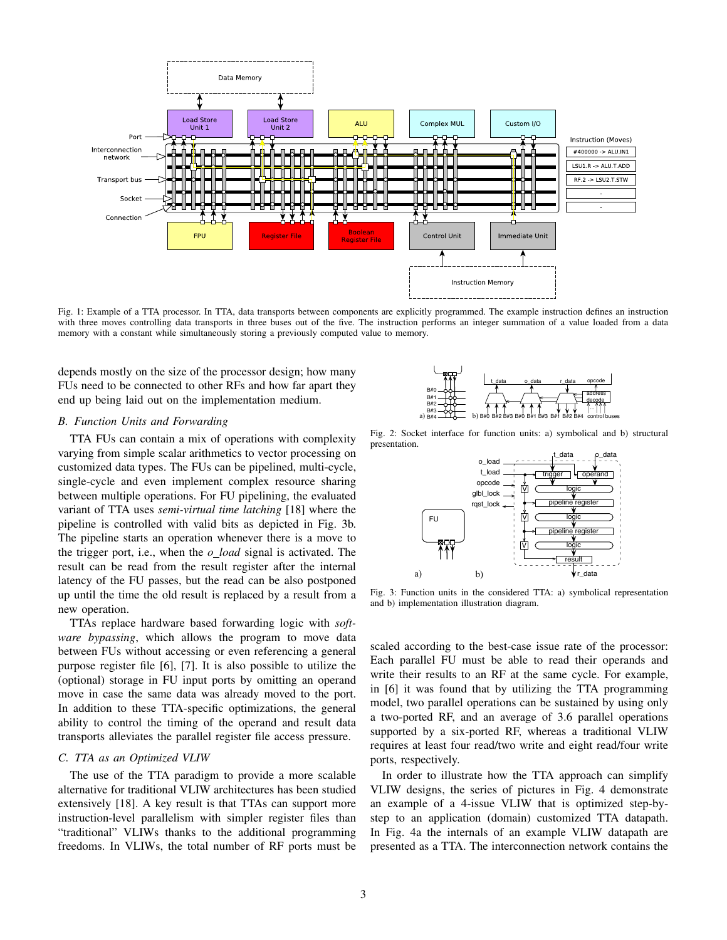

Fig. 1: Example of a TTA processor. In TTA, data transports between components are explicitly programmed. The example instruction defines an instruction with three moves controlling data transports in three buses out of the five. The instruction performs an integer summation of a value loaded from a data memory with a constant while simultaneously storing a previously computed value to memory.

depends mostly on the size of the processor design; how many FUs need to be connected to other RFs and how far apart they end up being laid out on the implementation medium.

# *B. Function Units and Forwarding*

TTA FUs can contain a mix of operations with complexity varying from simple scalar arithmetics to vector processing on customized data types. The FUs can be pipelined, multi-cycle, single-cycle and even implement complex resource sharing between multiple operations. For FU pipelining, the evaluated variant of TTA uses *semi-virtual time latching* [18] where the pipeline is controlled with valid bits as depicted in Fig. 3b. The pipeline starts an operation whenever there is a move to the trigger port, i.e., when the *o load* signal is activated. The result can be read from the result register after the internal latency of the FU passes, but the read can be also postponed up until the time the old result is replaced by a result from a new operation.

TTAs replace hardware based forwarding logic with *software bypassing*, which allows the program to move data between FUs without accessing or even referencing a general purpose register file [6], [7]. It is also possible to utilize the (optional) storage in FU input ports by omitting an operand move in case the same data was already moved to the port. In addition to these TTA-specific optimizations, the general ability to control the timing of the operand and result data transports alleviates the parallel register file access pressure.

# *C. TTA as an Optimized VLIW*

The use of the TTA paradigm to provide a more scalable alternative for traditional VLIW architectures has been studied extensively [18]. A key result is that TTAs can support more instruction-level parallelism with simpler register files than "traditional" VLIWs thanks to the additional programming freedoms. In VLIWs, the total number of RF ports must be



Fig. 2: Socket interface for function units: a) symbolical and b) structural presentation.



Fig. 3: Function units in the considered TTA: a) symbolical representation and b) implementation illustration diagram.

scaled according to the best-case issue rate of the processor: Each parallel FU must be able to read their operands and write their results to an RF at the same cycle. For example, in [6] it was found that by utilizing the TTA programming model, two parallel operations can be sustained by using only a two-ported RF, and an average of 3.6 parallel operations supported by a six-ported RF, whereas a traditional VLIW requires at least four read/two write and eight read/four write ports, respectively.

In order to illustrate how the TTA approach can simplify VLIW designs, the series of pictures in Fig. 4 demonstrate an example of a 4-issue VLIW that is optimized step-bystep to an application (domain) customized TTA datapath. In Fig. 4a the internals of an example VLIW datapath are presented as a TTA. The interconnection network contains the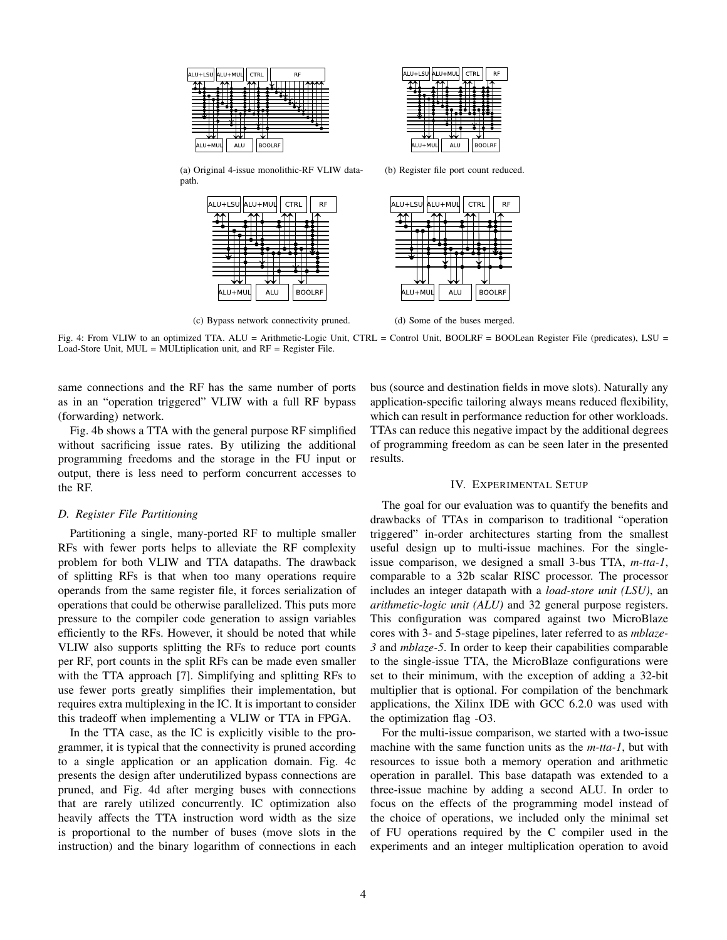

ALU+LSU ALU+MUL

ALU+MU

(a) Original 4-issue monolithic-RF VLIW data-

**ALU** 

**CTRL** 

**RF** 

| ALU+LSU ALU+MUL |     | CTRL | RF            |
|-----------------|-----|------|---------------|
|                 |     |      |               |
|                 |     |      |               |
|                 |     |      |               |
| ALU+MUL         | ALU |      | <b>BOOLRF</b> |

(b) Register file port count reduced.



(c) Bypass network connectivity pruned. (d) Some of the buses merged.

**BOOLRE** 

Fig. 4: From VLIW to an optimized TTA. ALU = Arithmetic-Logic Unit, CTRL = Control Unit, BOOLRF = BOOLean Register File (predicates), LSU = Load-Store Unit, MUL = MULtiplication unit, and RF = Register File.

same connections and the RF has the same number of ports as in an "operation triggered" VLIW with a full RF bypass (forwarding) network.

path.

Fig. 4b shows a TTA with the general purpose RF simplified without sacrificing issue rates. By utilizing the additional programming freedoms and the storage in the FU input or output, there is less need to perform concurrent accesses to the RF.

## *D. Register File Partitioning*

Partitioning a single, many-ported RF to multiple smaller RFs with fewer ports helps to alleviate the RF complexity problem for both VLIW and TTA datapaths. The drawback of splitting RFs is that when too many operations require operands from the same register file, it forces serialization of operations that could be otherwise parallelized. This puts more pressure to the compiler code generation to assign variables efficiently to the RFs. However, it should be noted that while VLIW also supports splitting the RFs to reduce port counts per RF, port counts in the split RFs can be made even smaller with the TTA approach [7]. Simplifying and splitting RFs to use fewer ports greatly simplifies their implementation, but requires extra multiplexing in the IC. It is important to consider this tradeoff when implementing a VLIW or TTA in FPGA.

In the TTA case, as the IC is explicitly visible to the programmer, it is typical that the connectivity is pruned according to a single application or an application domain. Fig. 4c presents the design after underutilized bypass connections are pruned, and Fig. 4d after merging buses with connections that are rarely utilized concurrently. IC optimization also heavily affects the TTA instruction word width as the size is proportional to the number of buses (move slots in the instruction) and the binary logarithm of connections in each bus (source and destination fields in move slots). Naturally any application-specific tailoring always means reduced flexibility, which can result in performance reduction for other workloads. TTAs can reduce this negative impact by the additional degrees of programming freedom as can be seen later in the presented results.

#### IV. EXPERIMENTAL SETUP

The goal for our evaluation was to quantify the benefits and drawbacks of TTAs in comparison to traditional "operation triggered" in-order architectures starting from the smallest useful design up to multi-issue machines. For the singleissue comparison, we designed a small 3-bus TTA, *m-tta-1*, comparable to a 32b scalar RISC processor. The processor includes an integer datapath with a *load-store unit (LSU)*, an *arithmetic-logic unit (ALU)* and 32 general purpose registers. This configuration was compared against two MicroBlaze cores with 3- and 5-stage pipelines, later referred to as *mblaze-3* and *mblaze-5*. In order to keep their capabilities comparable to the single-issue TTA, the MicroBlaze configurations were set to their minimum, with the exception of adding a 32-bit multiplier that is optional. For compilation of the benchmark applications, the Xilinx IDE with GCC 6.2.0 was used with the optimization flag -O3.

For the multi-issue comparison, we started with a two-issue machine with the same function units as the *m-tta-1*, but with resources to issue both a memory operation and arithmetic operation in parallel. This base datapath was extended to a three-issue machine by adding a second ALU. In order to focus on the effects of the programming model instead of the choice of operations, we included only the minimal set of FU operations required by the C compiler used in the experiments and an integer multiplication operation to avoid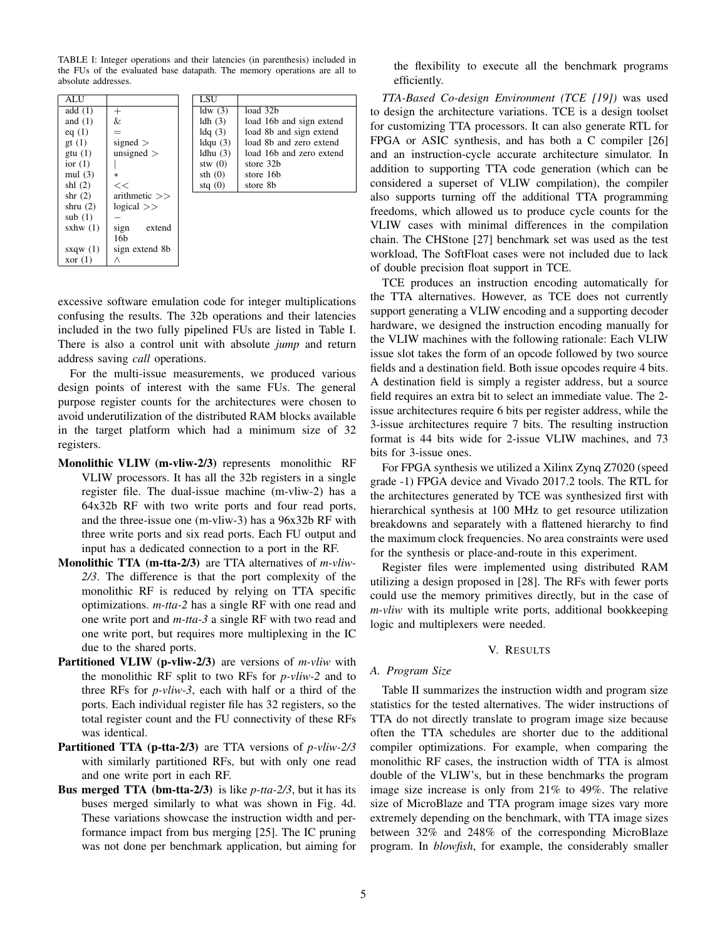TABLE I: Integer operations and their latencies (in parenthesis) included in the FUs of the evaluated base datapath. The memory operations are all to absolute addresses.

| ALU           |                 | LSU       |                          |
|---------------|-----------------|-----------|--------------------------|
| add $(1)$     | $^{+}$          | ldw(3)    | $load$ 32 $b$            |
| and $(1)$     | &               | ldh(3)    | load 16b and sign extend |
| eq $(1)$      | $=$             | ldq(3)    | load 8b and sign extend  |
| gt(1)         | signed $>$      | ldqu(3)   | load 8b and zero extend  |
| gtu(1)        | unsigned $>$    | ldhu(3)   | load 16b and zero extend |
| ior $(1)$     |                 | stw $(0)$ | store 32b                |
| mul $(3)$     | $\ast$          | sth(0)    | store 16b                |
| shl(2)        | <<              | stq $(0)$ | store 8b                 |
| shr $(2)$     | arithmetic $>>$ |           |                          |
| shru $(2)$    | logical $>>$    |           |                          |
| sub(1)        |                 |           |                          |
| $s$ xhw $(1)$ | extend<br>sign  |           |                          |
|               | 16 <sub>b</sub> |           |                          |
| sxqw(1)       | sign extend 8b  |           |                          |
| xor(1)        | Λ               |           |                          |

excessive software emulation code for integer multiplications confusing the results. The 32b operations and their latencies included in the two fully pipelined FUs are listed in Table I. There is also a control unit with absolute *jump* and return address saving *call* operations.

For the multi-issue measurements, we produced various design points of interest with the same FUs. The general purpose register counts for the architectures were chosen to avoid underutilization of the distributed RAM blocks available in the target platform which had a minimum size of 32 registers.

- Monolithic VLIW (m-vliw-2/3) represents monolithic RF VLIW processors. It has all the 32b registers in a single register file. The dual-issue machine (m-vliw-2) has a 64x32b RF with two write ports and four read ports, and the three-issue one (m-vliw-3) has a 96x32b RF with three write ports and six read ports. Each FU output and input has a dedicated connection to a port in the RF.
- Monolithic TTA (m-tta-2/3) are TTA alternatives of *m-vliw-2/3*. The difference is that the port complexity of the monolithic RF is reduced by relying on TTA specific optimizations. *m-tta-2* has a single RF with one read and one write port and *m-tta-3* a single RF with two read and one write port, but requires more multiplexing in the IC due to the shared ports.
- Partitioned VLIW (p-vliw-2/3) are versions of *m-vliw* with the monolithic RF split to two RFs for *p-vliw-2* and to three RFs for *p-vliw-3*, each with half or a third of the ports. Each individual register file has 32 registers, so the total register count and the FU connectivity of these RFs was identical.
- Partitioned TTA (p-tta-2/3) are TTA versions of *p-vliw-2/3* with similarly partitioned RFs, but with only one read and one write port in each RF.
- Bus merged TTA (bm-tta-2/3) is like *p-tta-2/3*, but it has its buses merged similarly to what was shown in Fig. 4d. These variations showcase the instruction width and performance impact from bus merging [25]. The IC pruning was not done per benchmark application, but aiming for

the flexibility to execute all the benchmark programs efficiently.

*TTA-Based Co-design Environment (TCE [19])* was used to design the architecture variations. TCE is a design toolset for customizing TTA processors. It can also generate RTL for FPGA or ASIC synthesis, and has both a C compiler [26] and an instruction-cycle accurate architecture simulator. In addition to supporting TTA code generation (which can be considered a superset of VLIW compilation), the compiler also supports turning off the additional TTA programming freedoms, which allowed us to produce cycle counts for the VLIW cases with minimal differences in the compilation chain. The CHStone [27] benchmark set was used as the test workload, The SoftFloat cases were not included due to lack of double precision float support in TCE.

TCE produces an instruction encoding automatically for the TTA alternatives. However, as TCE does not currently support generating a VLIW encoding and a supporting decoder hardware, we designed the instruction encoding manually for the VLIW machines with the following rationale: Each VLIW issue slot takes the form of an opcode followed by two source fields and a destination field. Both issue opcodes require 4 bits. A destination field is simply a register address, but a source field requires an extra bit to select an immediate value. The 2 issue architectures require 6 bits per register address, while the 3-issue architectures require 7 bits. The resulting instruction format is 44 bits wide for 2-issue VLIW machines, and 73 bits for 3-issue ones.

For FPGA synthesis we utilized a Xilinx Zynq Z7020 (speed grade -1) FPGA device and Vivado 2017.2 tools. The RTL for the architectures generated by TCE was synthesized first with hierarchical synthesis at 100 MHz to get resource utilization breakdowns and separately with a flattened hierarchy to find the maximum clock frequencies. No area constraints were used for the synthesis or place-and-route in this experiment.

Register files were implemented using distributed RAM utilizing a design proposed in [28]. The RFs with fewer ports could use the memory primitives directly, but in the case of *m-vliw* with its multiple write ports, additional bookkeeping logic and multiplexers were needed.

#### V. RESULTS

### *A. Program Size*

Table II summarizes the instruction width and program size statistics for the tested alternatives. The wider instructions of TTA do not directly translate to program image size because often the TTA schedules are shorter due to the additional compiler optimizations. For example, when comparing the monolithic RF cases, the instruction width of TTA is almost double of the VLIW's, but in these benchmarks the program image size increase is only from 21% to 49%. The relative size of MicroBlaze and TTA program image sizes vary more extremely depending on the benchmark, with TTA image sizes between 32% and 248% of the corresponding MicroBlaze program. In *blowfish*, for example, the considerably smaller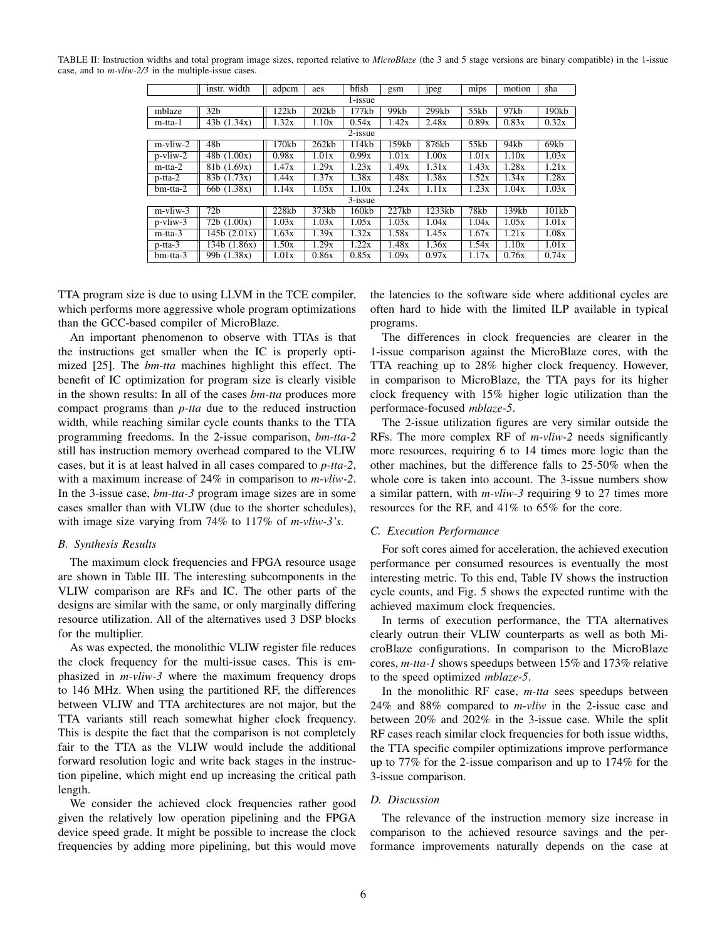TABLE II: Instruction widths and total program image sizes, reported relative to *MicroBlaze* (the 3 and 5 stage versions are binary compatible) in the 1-issue case, and to *m-vliw-2/3* in the multiple-issue cases.

|                    | instr. width              | adpcm | aes   | bfish      | gsm      | jpeg   | mips  | motion | sha   |
|--------------------|---------------------------|-------|-------|------------|----------|--------|-------|--------|-------|
| 1-issue            |                           |       |       |            |          |        |       |        |       |
| mblaze             | 32 <sub>b</sub>           | 122kb | 202kb | 177kb      | 99kb     | 299kb  | 55kb  | 97kb   | 190kb |
| m-tta-1            | 43b(1.34x)                | 1.32x | 1.10x | 0.54x      | 1.42x    | 2.48x  | 0.89x | 0.83x  | 0.32x |
|                    |                           |       |       | $2$ -issue |          |        |       |        |       |
| m-vliw-2           | 48b                       | 170kb | 262kb | 114kb      | 159kb    | 876kb  | 55kb  | 94kb   | 69kb  |
| $p$ -vliw-2        | 48b(1.00x)                | 0.98x | 1.01x | 0.99x      | 1.01x    | 1.00x  | 1.01x | 1.10x  | 1.03x |
| $m$ -tta-2         | 81b(1.69x)                | 1.47x | 1.29x | 1.23x      | 1.49x    | 1.31x  | 1.43x | 1.28x  | 1.21x |
| $p$ -tta-2         | 83b(1.73x)                | 1.44x | 1.37x | 1.38x      | 1.48x    | 1.38x  | 1.52x | 1.34x  | 1.28x |
| $bm-tta-2$         | 66b (1.38x)               | 1.14x | 1.05x | 1.10x      | 1.24x    | 1.11x  | 1.23x | 1.04x  | 1.03x |
| $3$ -issue         |                           |       |       |            |          |        |       |        |       |
| m-vliw-3           | 72b                       | 228kb | 373kb | 160kb      | $227$ kb | 1233kb | 78kb  | 139kb  | 101kb |
| $p-\text{v}$ liw-3 | 72b(1.00x)                | 1.03x | 1.03x | 1.05x      | 1.03x    | 1.04x  | 1.04x | 1.05x  | 1.01x |
| $m$ -tta-3         | 145 $b(2.01x)$            | 1.63x | 1.39x | 1.32x      | 1.58x    | 1.45x  | 1.67x | 1.21x  | 1.08x |
| $p$ -tta-3         | $\overline{134b}$ (1.86x) | 1.50x | 1.29x | 1.22x      | 1.48x    | 1.36x  | 1.54x | 1.10x  | 1.01x |
| $bm-tta-3$         | 99b (1.38x)               | 1.01x | 0.86x | 0.85x      | 1.09x    | 0.97x  | 1.17x | 0.76x  | 0.74x |

TTA program size is due to using LLVM in the TCE compiler, which performs more aggressive whole program optimizations than the GCC-based compiler of MicroBlaze.

An important phenomenon to observe with TTAs is that the instructions get smaller when the IC is properly optimized [25]. The *bm-tta* machines highlight this effect. The benefit of IC optimization for program size is clearly visible in the shown results: In all of the cases *bm-tta* produces more compact programs than *p-tta* due to the reduced instruction width, while reaching similar cycle counts thanks to the TTA programming freedoms. In the 2-issue comparison, *bm-tta-2* still has instruction memory overhead compared to the VLIW cases, but it is at least halved in all cases compared to *p-tta-2*, with a maximum increase of 24% in comparison to *m-vliw-2*. In the 3-issue case, *bm-tta-3* program image sizes are in some cases smaller than with VLIW (due to the shorter schedules), with image size varying from 74% to 117% of *m-vliw-3's*.

# *B. Synthesis Results*

The maximum clock frequencies and FPGA resource usage are shown in Table III. The interesting subcomponents in the VLIW comparison are RFs and IC. The other parts of the designs are similar with the same, or only marginally differing resource utilization. All of the alternatives used 3 DSP blocks for the multiplier.

As was expected, the monolithic VLIW register file reduces the clock frequency for the multi-issue cases. This is emphasized in *m-vliw-3* where the maximum frequency drops to 146 MHz. When using the partitioned RF, the differences between VLIW and TTA architectures are not major, but the TTA variants still reach somewhat higher clock frequency. This is despite the fact that the comparison is not completely fair to the TTA as the VLIW would include the additional forward resolution logic and write back stages in the instruction pipeline, which might end up increasing the critical path length.

We consider the achieved clock frequencies rather good given the relatively low operation pipelining and the FPGA device speed grade. It might be possible to increase the clock frequencies by adding more pipelining, but this would move the latencies to the software side where additional cycles are often hard to hide with the limited ILP available in typical programs.

The differences in clock frequencies are clearer in the 1-issue comparison against the MicroBlaze cores, with the TTA reaching up to 28% higher clock frequency. However, in comparison to MicroBlaze, the TTA pays for its higher clock frequency with 15% higher logic utilization than the performace-focused *mblaze-5*.

The 2-issue utilization figures are very similar outside the RFs. The more complex RF of *m-vliw-2* needs significantly more resources, requiring 6 to 14 times more logic than the other machines, but the difference falls to 25-50% when the whole core is taken into account. The 3-issue numbers show a similar pattern, with *m-vliw-3* requiring 9 to 27 times more resources for the RF, and 41% to 65% for the core.

#### *C. Execution Performance*

For soft cores aimed for acceleration, the achieved execution performance per consumed resources is eventually the most interesting metric. To this end, Table IV shows the instruction cycle counts, and Fig. 5 shows the expected runtime with the achieved maximum clock frequencies.

In terms of execution performance, the TTA alternatives clearly outrun their VLIW counterparts as well as both MicroBlaze configurations. In comparison to the MicroBlaze cores, *m-tta-1* shows speedups between 15% and 173% relative to the speed optimized *mblaze-5*.

In the monolithic RF case, *m-tta* sees speedups between 24% and 88% compared to *m-vliw* in the 2-issue case and between 20% and 202% in the 3-issue case. While the split RF cases reach similar clock frequencies for both issue widths, the TTA specific compiler optimizations improve performance up to 77% for the 2-issue comparison and up to 174% for the 3-issue comparison.

# *D. Discussion*

The relevance of the instruction memory size increase in comparison to the achieved resource savings and the performance improvements naturally depends on the case at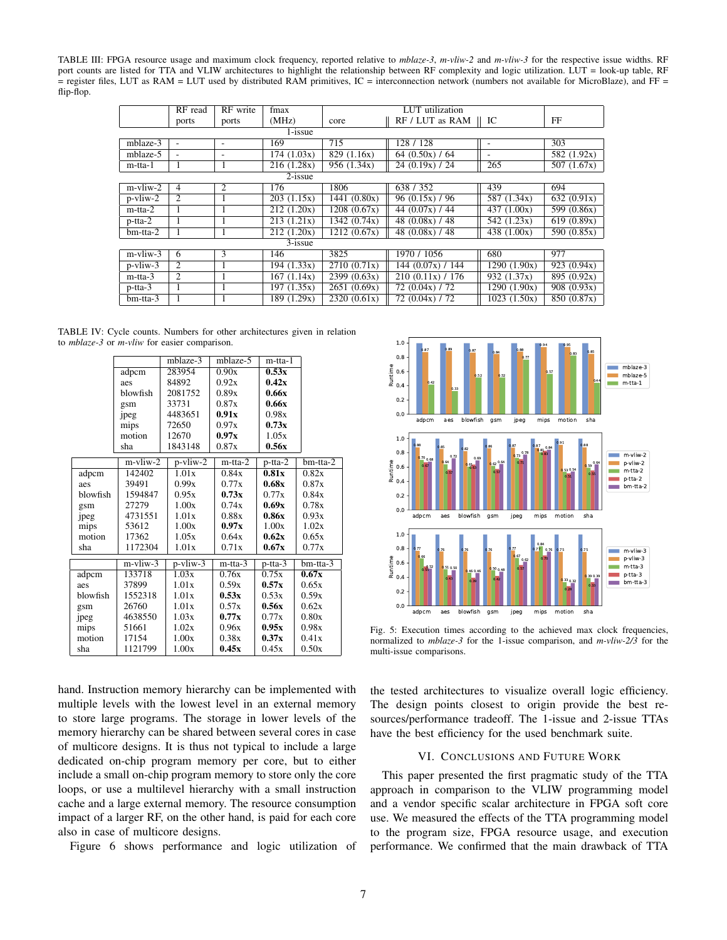TABLE III: FPGA resource usage and maximum clock frequency, reported relative to *mblaze-3*, *m-vliw-2* and *m-vliw-3* for the respective issue widths. RF port counts are listed for TTA and VLIW architectures to highlight the relationship between RF complexity and logic utilization. LUT = look-up table, RF  $=$  register files, LUT as RAM = LUT used by distributed RAM primitives, IC = interconnection network (numbers not available for MicroBlaze), and FF = flip-flop.

|                    | RF read        | RF write       | fmax       |             | LUT utilization           |                          |               |
|--------------------|----------------|----------------|------------|-------------|---------------------------|--------------------------|---------------|
|                    | ports          | ports          | (MHz)      | core        | $RF / LUT$ as RAM $  $ IC |                          | FF            |
|                    |                |                |            |             |                           |                          |               |
| mblaze-3           | ٠              | ۰              | 169        | 715         | 128 / 128                 | $\overline{\phantom{a}}$ | 303           |
| mblaze-5           | ۰              | ٠              | 174(1.03x) | 829(1.16x)  | 64(0.50x)/64              | $\overline{\phantom{a}}$ | 582 (1.92x)   |
| m-tta-1            |                | $\mathbf{I}$   | 216(1.28x) | 956 (1.34x) | 24(0.19x)/24              | 265                      | 507(1.67x)    |
|                    |                |                | $2$ -issue |             |                           |                          |               |
| m-vliw-2           | 4              | $\overline{2}$ | 176        | 1806        | 638 / 352                 | 439                      | 694           |
| $p-\text{v}$ liw-2 | 2              |                | 203(1.15x) | 1441(0.80x) | 96(0.15x) / 96            | 587(1.34x)               | 632(0.91x)    |
| $m$ -tta-2         | л.             |                | 212(1.20x) | 1208(0.67x) | 44 $(0.07x)$ / 44         | 437 $(1.00x)$            | 599 $(0.86x)$ |
| $p$ -tta-2         | $\mathbf{I}$   | -1             | 213(1.21x) | 1342(0.74x) | 48 $(0.08x)$ / 48         | $\overline{542}$ (1.23x) | 619(0.89x)    |
| $bm-tta-2$         | л.             | л.             | 212(1.20x) | 1212(0.67x) | 48 $(0.08x)$ / 48         | 438 $(1.00x)$            | 590 $(0.85x)$ |
|                    |                |                | $3$ -issue |             |                           |                          |               |
| m-vliw-3           | 6              | 3              | 146        | 3825        | 1970 / 1056               | 680                      | 977           |
| $p-\text{vli}w-3$  | $\overline{c}$ |                | 194(1.33x) | 2710(0.71x) | 144 (0.07x) / 144         | 1290(1.90x)              | 923(0.94x)    |
| $m$ -tta-3         | $\overline{c}$ |                | 167(1.14x) | 2399(0.63x) | 210(0.11x)/176            | 932(1.37x)               | 895(0.92x)    |
| $p$ -tta-3         |                |                | 197(1.35x) | 2651(0.69x) | 72(0.04x) / 72            | 1290(1.90x)              | 908(0.93x)    |
| $bm-tta-3$         | $\mathbf{I}$   |                | 189(1.29x) | 2320(0.61x) | 72(0.04x) / 72            | 1023(1.50x)              | 850 (0.87x)   |

TABLE IV: Cycle counts. Numbers for other architectures given in relation to *mblaze-3* or *m-vliw* for easier comparison.

|          |             | mblaze-3    | mblaze-5<br>m-tta-1 |                          |            |
|----------|-------------|-------------|---------------------|--------------------------|------------|
|          | adpcm       | 283954      | 0.90x               | 0.53x                    |            |
|          | aes         | 84892       | 0.92x               | 0.42x                    |            |
|          | blowfish    | 2081752     | 0.89x               | 0.66x                    |            |
|          | gsm         | 33731       | 0.87x               | 0.66x                    |            |
|          | jpeg        | 4483651     | 0.91x               | 0.98x                    |            |
|          | mips        | 72650       | 0.97x               | 0.73x                    |            |
|          | motion      | 12670       | 0.97x               | 1.05x                    |            |
|          | sha         | 1843148     | 0.87x               | 0.56x                    |            |
|          | $m$ -vliw-2 | $p$ -vliw-2 | $m$ -tta-2          | $p$ -tta-2               | $bm-tta-2$ |
| adpcm    | 142402      | 1.01x       | 0.84x               | 0.81x                    | 0.82x      |
| aes      | 39491       | 0.99x       | 0.77x               | 0.68x                    | 0.87x      |
| blowfish | 1594847     | 0.95x       | 0.73x               | 0.77x                    | 0.84x      |
| gsm      | 27279       | 1.00x       | 0.74x               | 0.69x                    | 0.78x      |
| jpeg     | 4731551     | 1.01x       | 0.88x               | 0.86x                    | 0.93x      |
| mips     | 53612       | 1.00x       | 0.97x               | 1.00x                    | 1.02x      |
| motion   | 17362       | 1.05x       | 0.64x               | 0.62x                    | 0.65x      |
| sha      | 1172304     | 1.01x       | 0.71x               | 0.67x                    | 0.77x      |
|          | $m$ -vliw-3 | $p$ -vliw-3 | $m$ -tta-3          | $p$ -tta- $\overline{3}$ | $bm-tta-3$ |
| adpcm    | 133718      | 1.03x       | 0.76x               | 0.75x                    | 0.67x      |
| aes      | 37899       | 1.01x       | 0.59x               | 0.57x                    | 0.65x      |
| blowfish | 1552318     | 1.01x       | 0.53x               | 0.53x                    | 0.59x      |
| gsm      | 26760       | 1.01x       | 0.57x               | 0.56x                    | 0.62x      |
| jpeg     | 4638550     | 1.03x       | 0.77x               | 0.77x                    | 0.80x      |
| mips     | 51661       | 1.02x       | 0.96x               | 0.95x                    | 0.98x      |
| motion   | 17154       | 1.00x       | 0.38x               | 0.37x                    | 0.41x      |
| sha      | 1121799     | 1.00x       | 0.45x               | 0.45x                    | 0.50x      |

hand. Instruction memory hierarchy can be implemented with multiple levels with the lowest level in an external memory to store large programs. The storage in lower levels of the memory hierarchy can be shared between several cores in case of multicore designs. It is thus not typical to include a large dedicated on-chip program memory per core, but to either include a small on-chip program memory to store only the core loops, or use a multilevel hierarchy with a small instruction cache and a large external memory. The resource consumption impact of a larger RF, on the other hand, is paid for each core also in case of multicore designs.

Figure 6 shows performance and logic utilization of



Fig. 5: Execution times according to the achieved max clock frequencies, normalized to *mblaze-3* for the 1-issue comparison, and *m-vliw-2/3* for the multi-issue comparisons.

the tested architectures to visualize overall logic efficiency. The design points closest to origin provide the best resources/performance tradeoff. The 1-issue and 2-issue TTAs have the best efficiency for the used benchmark suite.

# VI. CONCLUSIONS AND FUTURE WORK

This paper presented the first pragmatic study of the TTA approach in comparison to the VLIW programming model and a vendor specific scalar architecture in FPGA soft core use. We measured the effects of the TTA programming model to the program size, FPGA resource usage, and execution performance. We confirmed that the main drawback of TTA